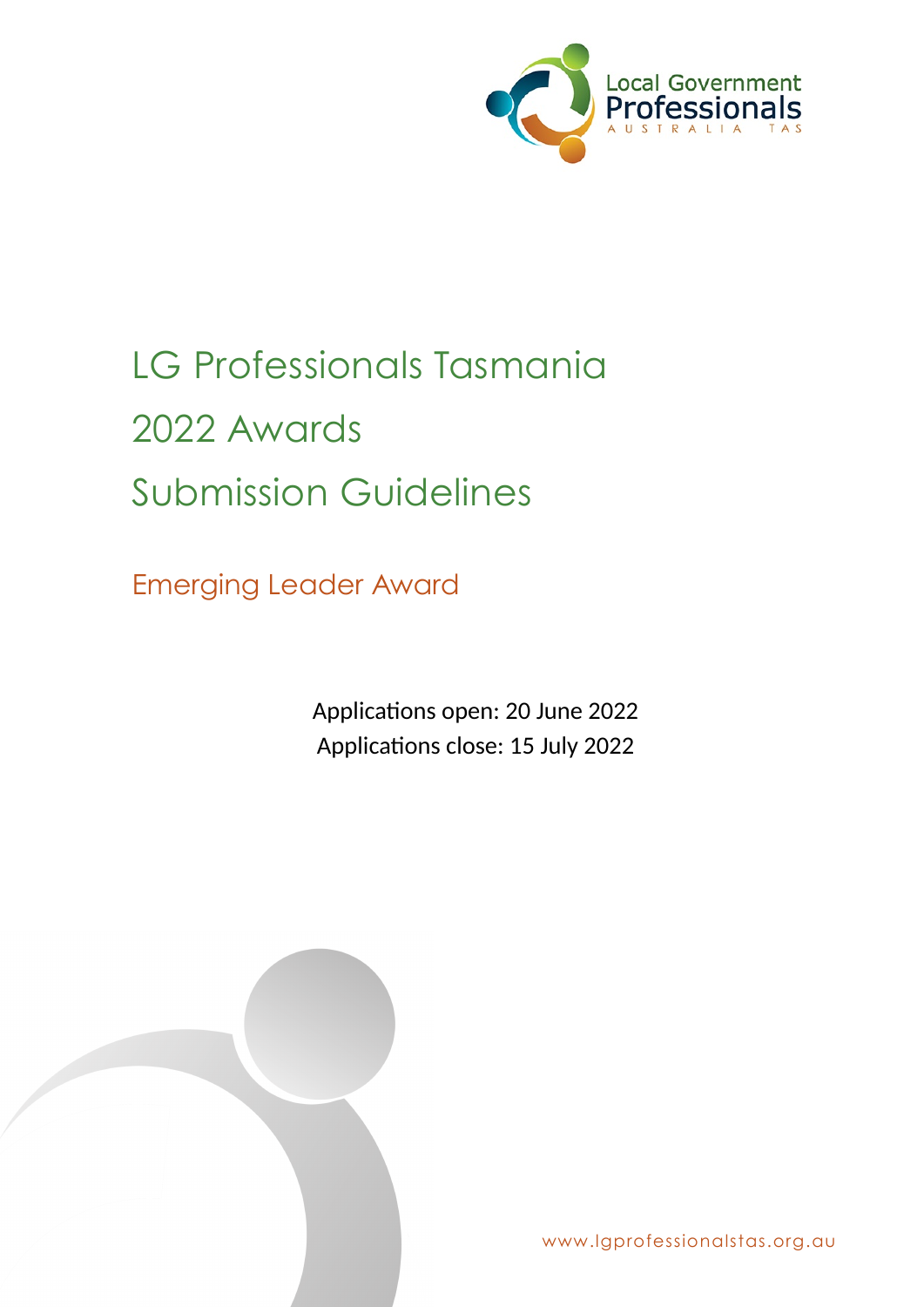

# LG Professionals Tasmania 2022 Awards Submission Guidelines

Emerging Leader Award

Applications open: 20 June 2022 Applications close: 15 July 2022



www.lgprofessionalstas.org.au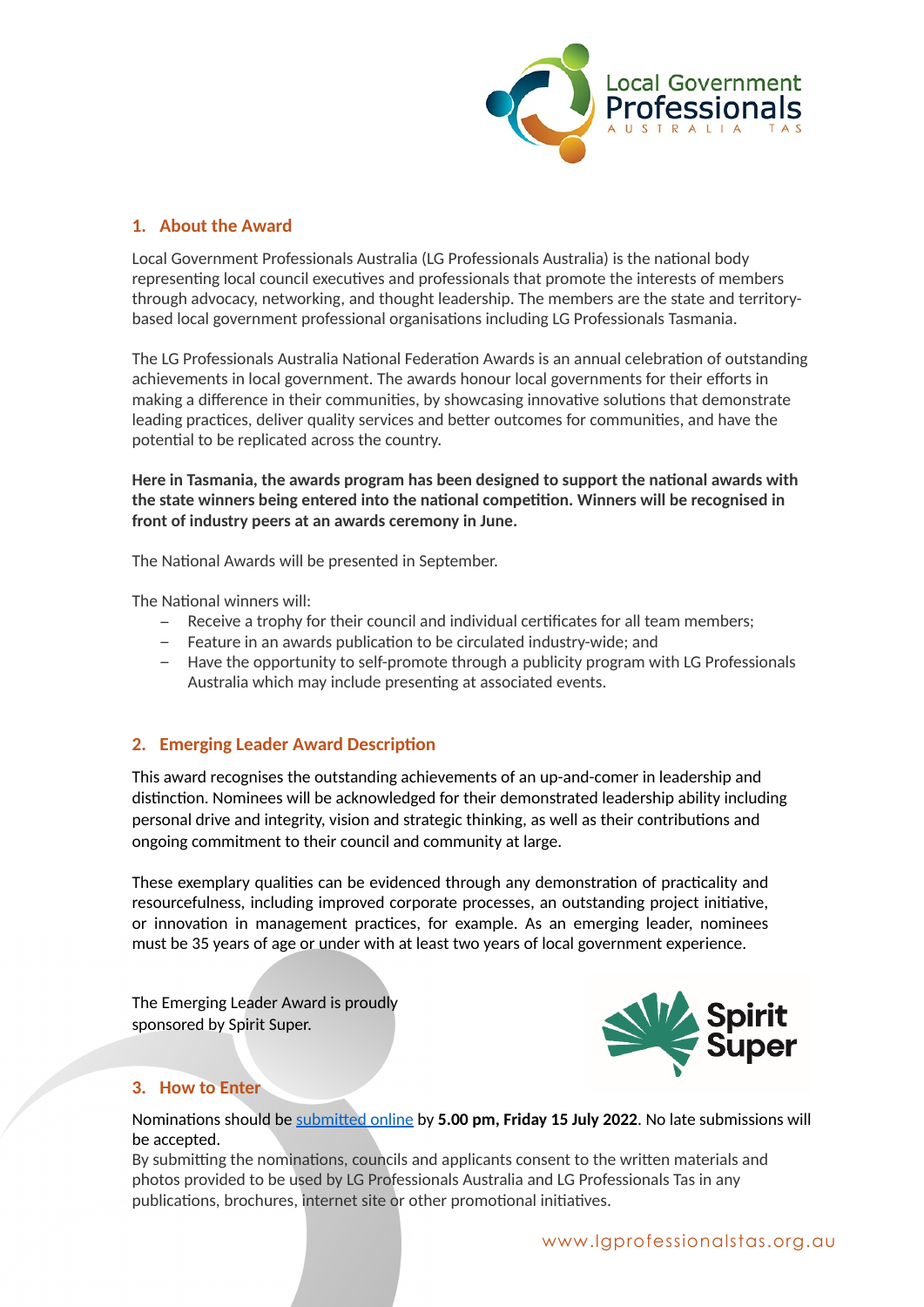

## **1. About the Award**

Local Government Professionals Australia (LG Professionals Australia) is the national body representing local council executives and professionals that promote the interests of members through advocacy, networking, and thought leadership. The members are the state and territorybased local government professional organisations including LG Professionals Tasmania.

The LG Professionals Australia National Federation Awards is an annual celebration of outstanding achievements in local government. The awards honour local governments for their efforts in making a difference in their communities, by showcasing innovative solutions that demonstrate leading practices, deliver quality services and better outcomes for communities, and have the potential to be replicated across the country.

**Here in Tasmania, the awards program has been designed to support the national awards with the state winners being entered into the national competition. Winners will be recognised in front of industry peers at an awards ceremony in June.**

The National Awards will be presented in September.

The National winners will:

- − Receive a trophy for their council and individual certificates for all team members;
- − Feature in an awards publication to be circulated industry-wide; and
- − Have the opportunity to self-promote through a publicity program with LG Professionals Australia which may include presenting at associated events.

### **2. Emerging Leader Award Description**

This award recognises the outstanding achievements of an up-and-comer in leadership and distinction. Nominees will be acknowledged for their demonstrated leadership ability including personal drive and integrity, vision and strategic thinking, as well as their contributions and ongoing commitment to their council and community at large.

These exemplary qualities can be evidenced through any demonstration of practicality and resourcefulness, including improved corporate processes, an outstanding project initiative, or innovation in management practices, for example. As an emerging leader, nominees must be 35 years of age or under with at least two years of local government experience.

The Emerging Leader Award is proudly sponsored by Spirit Super.



### **3. How to Enter**

Nominations should be [submitted online](https://lgprofessionalstas.org.au/awards/emerging-leader-award-application/) by **5.00 pm, Friday 15 July 2022**. No late submissions will be accepted.

By submitting the nominations, councils and applicants consent to the written materials and photos provided to be used by LG Professionals Australia and LG Professionals Tas in any publications, brochures, internet site or other promotional initiatives.